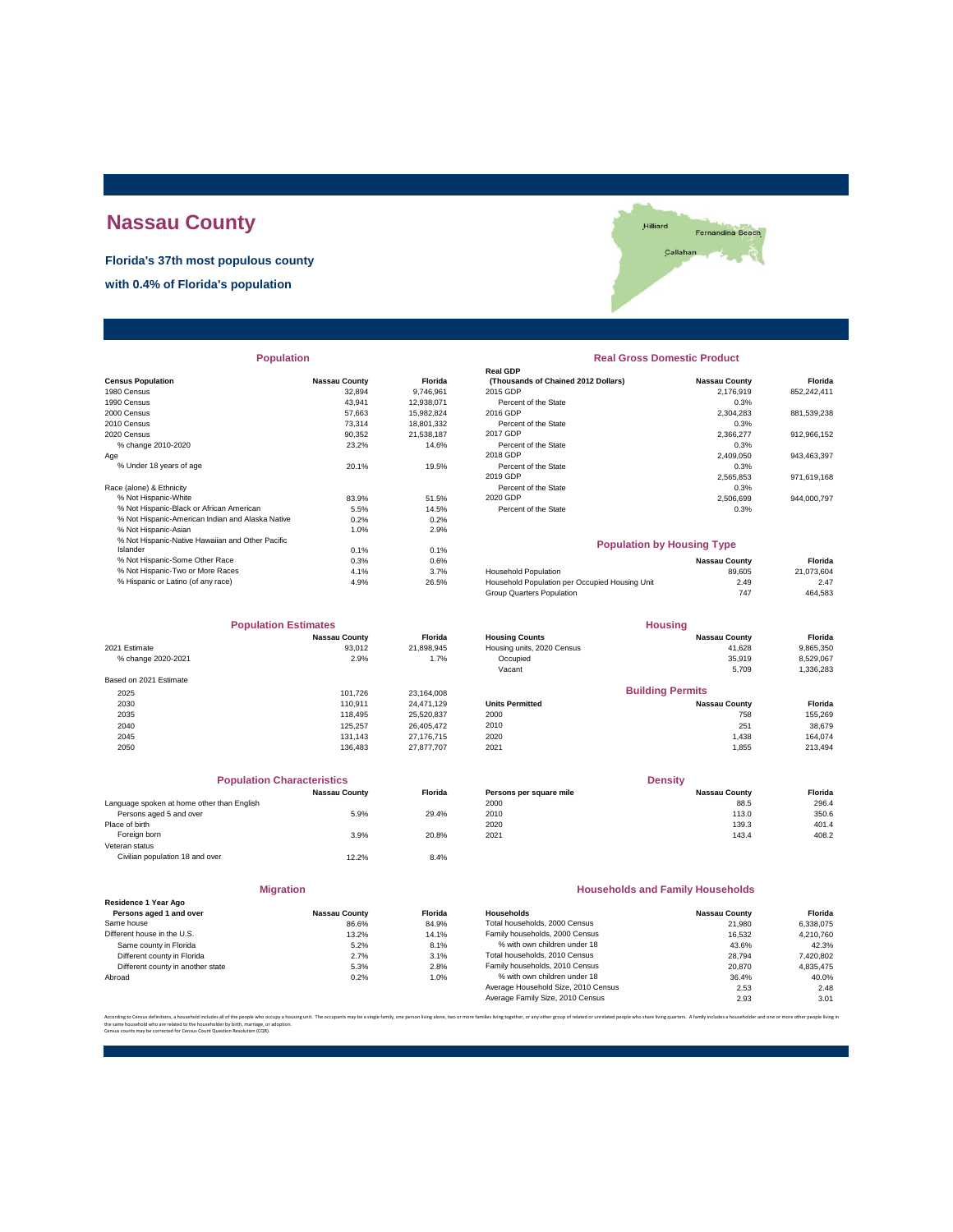# **Nassau County**

**Florida's 37th most populous county**

**with 0.4% of Florida's population**



| <b>Population</b> |
|-------------------|
|-------------------|

|                                                  |                      |            | Real GDP                                       |                      |             |
|--------------------------------------------------|----------------------|------------|------------------------------------------------|----------------------|-------------|
| <b>Census Population</b>                         | <b>Nassau County</b> | Florida    | (Thousands of Chained 2012 Dollars)            | <b>Nassau County</b> | Florida     |
| 1980 Census                                      | 32.894               | 9.746.961  | 2015 GDP                                       | 2.176.919            | 852.242.411 |
| 1990 Census                                      | 43,941               | 12,938,071 | Percent of the State                           | 0.3%                 |             |
| 2000 Census                                      | 57.663               | 15,982,824 | 2016 GDP                                       | 2,304,283            | 881,539,238 |
| 2010 Census                                      | 73,314               | 18,801,332 | Percent of the State                           | 0.3%                 |             |
| 2020 Census                                      | 90.352               | 21,538,187 | 2017 GDP                                       | 2,366,277            | 912,966,152 |
| % change 2010-2020                               | 23.2%                | 14.6%      | Percent of the State                           | 0.3%                 |             |
| Age                                              |                      |            | 2018 GDP                                       | 2,409,050            | 943,463,397 |
| % Under 18 years of age                          | 20.1%                | 19.5%      | Percent of the State                           | 0.3%                 |             |
|                                                  |                      |            | 2019 GDP                                       | 2.565.853            | 971.619.168 |
| Race (alone) & Ethnicity                         |                      |            | Percent of the State                           | 0.3%                 |             |
| % Not Hispanic-White                             | 83.9%                | 51.5%      | 2020 GDP                                       | 2,506,699            | 944,000,797 |
| % Not Hispanic-Black or African American         | 5.5%                 | 14.5%      | Percent of the State                           | 0.3%                 |             |
| % Not Hispanic-American Indian and Alaska Native | 0.2%                 | 0.2%       |                                                |                      |             |
| % Not Hispanic-Asian                             | 1.0%                 | 2.9%       |                                                |                      |             |
| % Not Hispanic-Native Hawaiian and Other Pacific |                      |            | <b>Population by Housing Type</b>              |                      |             |
| Islander                                         | 0.1%                 | 0.1%       |                                                |                      |             |
| % Not Hispanic-Some Other Race                   | 0.3%                 | 0.6%       |                                                | <b>Nassau County</b> | Florida     |
| % Not Hispanic-Two or More Races                 | 4.1%                 | 3.7%       | <b>Household Population</b>                    | 89,605               | 21,073,604  |
| % Hispanic or Latino (of any race)               | 4.9%                 | 26.5%      | Household Population per Occupied Housing Unit | 2.49                 | 2.47        |
|                                                  |                      |            |                                                |                      |             |

| <b>Population Estimates</b> |                      |            | <b>Housing</b>             |                         |           |  |
|-----------------------------|----------------------|------------|----------------------------|-------------------------|-----------|--|
|                             | <b>Nassau County</b> | Florida    | <b>Housing Counts</b>      | <b>Nassau County</b>    | Florida   |  |
| 2021 Estimate               | 93,012               | 21,898,945 | Housing units, 2020 Census | 41.628                  | 9,865,350 |  |
| % change 2020-2021          | 2.9%                 | 1.7%       | Occupied                   | 35,919                  | 8,529,067 |  |
|                             |                      |            | Vacant                     | 5,709                   | 1,336,283 |  |
| Based on 2021 Estimate      |                      |            |                            |                         |           |  |
| 2025                        | 101.726              | 23.164.008 |                            | <b>Building Permits</b> |           |  |
| 2030                        | 110.911              | 24.471.129 | <b>Units Permitted</b>     | <b>Nassau County</b>    | Florida   |  |
| 2035                        | 118.495              | 25,520,837 | 2000                       | 758                     | 155,269   |  |
| 2040                        | 125.257              | 26.405.472 | 2010                       | 251                     | 38,679    |  |
| 2045                        | 131.143              | 27.176.715 | 2020                       | 1.438                   | 164.074   |  |
| 2050                        | 136.483              | 27.877.707 | 2021                       | 1.855                   | 213,494   |  |

|                                            | <b>Population Characteristics</b> |                |
|--------------------------------------------|-----------------------------------|----------------|
|                                            | <b>Nassau County</b>              | <b>Florida</b> |
| Language spoken at home other than English |                                   |                |
| Persons aged 5 and over                    | 5.9%                              | 29.4%          |
| Place of birth                             |                                   |                |
| Foreign born                               | 3.9%                              | 20.8%          |
| Veteran status                             |                                   |                |
| Civilian population 18 and over            | 12.2%                             | 8.4%           |
|                                            |                                   |                |

| Miro | . | тюп |  |
|------|---|-----|--|
|      |   |     |  |

| Residence 1 Year Ago              |                      |                |
|-----------------------------------|----------------------|----------------|
| Persons aged 1 and over           | <b>Nassau County</b> | <b>Florida</b> |
| Same house                        | 86.6%                | 84.9%          |
| Different house in the U.S.       | 13.2%                | 14.1%          |
| Same county in Florida            | 5.2%                 | 8.1%           |
| Different county in Florida       | 2.7%                 | 3.1%           |
| Different county in another state | 5.3%                 | 2.8%           |
| Abroad                            | 0.2%                 | 1.0%           |

#### **Real Gross Domestic Product**

| <b>FUDUIALIUII</b>                               |                      |                | <b>Real Giuss Duillesul Fiuuul</b> l |                      |             |  |
|--------------------------------------------------|----------------------|----------------|--------------------------------------|----------------------|-------------|--|
|                                                  |                      |                | <b>Real GDP</b>                      |                      |             |  |
| sus Population                                   | <b>Nassau County</b> | <b>Florida</b> | (Thousands of Chained 2012 Dollars)  | <b>Nassau County</b> | Florida     |  |
| 0 Census                                         | 32.894               | 9.746.961      | 2015 GDP                             | 2.176.919            | 852.242.411 |  |
| 0 Census                                         | 43.941               | 12.938.071     | Percent of the State                 | 0.3%                 |             |  |
| 0 Census                                         | 57.663               | 15.982.824     | 2016 GDP                             | 2.304.283            | 881.539.238 |  |
| 0 Census                                         | 73.314               | 18.801.332     | Percent of the State                 | 0.3%                 |             |  |
| 0 Census                                         | 90.352               | 21.538.187     | 2017 GDP                             | 2.366.277            | 912.966.152 |  |
| % change 2010-2020                               | 23.2%                | 14.6%          | Percent of the State                 | 0.3%                 |             |  |
|                                                  |                      |                | 2018 GDP                             | 2.409.050            | 943.463.397 |  |
| % Under 18 years of age                          | 20.1%                | 19.5%          | Percent of the State                 | 0.3%                 |             |  |
|                                                  |                      |                | 2019 GDP                             | 2.565.853            | 971,619,168 |  |
| e (alone) & Ethnicity                            |                      |                | Percent of the State                 | 0.3%                 |             |  |
| % Not Hispanic-White                             | 83.9%                | 51.5%          | 2020 GDP                             | 2.506.699            | 944.000.797 |  |
| % Not Hispanic-Black or African American         | 5.5%                 | 14.5%          | Percent of the State                 | 0.3%                 |             |  |
| % Not Hienanic-American Indian and Alaska Native | O 20/                | 0.29           |                                      |                      |             |  |

#### **Population by Housing Type**

| 0.3% | 0.6% |       |                                                                                                            | Florida       |
|------|------|-------|------------------------------------------------------------------------------------------------------------|---------------|
| 4.1% | 3.7% |       | 89.605                                                                                                     | 21.073.604    |
| 4.9% |      |       | 2.49                                                                                                       | 2.47          |
|      |      |       | 747                                                                                                        | 464.583       |
|      |      | 26.5% | <b>Household Population</b><br>Household Population per Occupied Housing Unit<br>Group Quarters Population | Nassau County |

| <b>Population Estimates</b> |                      |                | <b>Housing</b>             |                         |           |  |
|-----------------------------|----------------------|----------------|----------------------------|-------------------------|-----------|--|
|                             | <b>Nassau County</b> | <b>Florida</b> | <b>Housing Counts</b>      | <b>Nassau County</b>    | Florida   |  |
| 2021 Estimate               | 93,012               | 21,898,945     | Housing units, 2020 Census | 41.628                  | 9,865,350 |  |
| % change 2020-2021          | 2.9%                 | 1.7%           | Occupied                   | 35.919                  | 8,529,067 |  |
|                             |                      |                | Vacant                     | 5.709                   | 1,336,283 |  |
| Based on 2021 Estimate      |                      |                |                            |                         |           |  |
| 2025                        | 101.726              | 23.164.008     |                            | <b>Building Permits</b> |           |  |
| 2030                        | 110.911              | 24.471.129     | <b>Units Permitted</b>     | <b>Nassau County</b>    | Florida   |  |
| 2035                        | 118,495              | 25,520,837     | 2000                       | 758                     | 155,269   |  |
| 2040                        | 125.257              | 26,405,472     | 2010                       | 251                     | 38,679    |  |
| 2045                        | 131 143              | 27 176 715     | 2020                       | 438                     | 164 074   |  |

| <b>Population Characteristics</b>          |                      |                | <b>Density</b>          |                      |         |
|--------------------------------------------|----------------------|----------------|-------------------------|----------------------|---------|
|                                            | <b>Nassau County</b> | <b>Florida</b> | Persons per square mile | <b>Nassau County</b> | Florida |
| Language spoken at home other than English |                      |                | 2000                    | 88.5                 | 296.4   |
| Persons aged 5 and over                    | 5.9%                 | 29.4%          | 2010                    | 113.0                | 350.6   |
| Place of birth                             |                      |                | 2020                    | 139.3                | 401.4   |
| Foreign born                               | 3.9%                 | 20.8%          | 2021                    | 143.4                | 408.2   |

#### **Households and Family Households**

| <b>Nassau County</b> | <b>Florida</b> | Households                          | <b>Nassau County</b> | Florida   |
|----------------------|----------------|-------------------------------------|----------------------|-----------|
| 86.6%                | 84.9%          | Total households, 2000 Census       | 21,980               | 6.338.075 |
| 13.2%                | 14.1%          | Family households, 2000 Census      | 16.532               | 4.210.760 |
| 5.2%                 | 8.1%           | % with own children under 18        | 43.6%                | 42.3%     |
| 2.7%                 | 3.1%           | Total households, 2010 Census       | 28.794               | 7,420,802 |
| 5.3%                 | 2.8%           | Family households, 2010 Census      | 20,870               | 4.835.475 |
| 0.2%                 | 1.0%           | % with own children under 18        | 36.4%                | 40.0%     |
|                      |                | Average Household Size, 2010 Census | 2.53                 | 2.48      |
|                      |                | Average Family Size, 2010 Census    | 2.93                 | 3.01      |
|                      |                |                                     |                      |           |

.<br>In families living together, or any other group of related or unrelated people who share living quarters. A family includes a householder and one or more other people li the same household who are related to the householder by birth, marriage, or adoption. Census counts may be corrected for Census Count Question Resolution (CQR).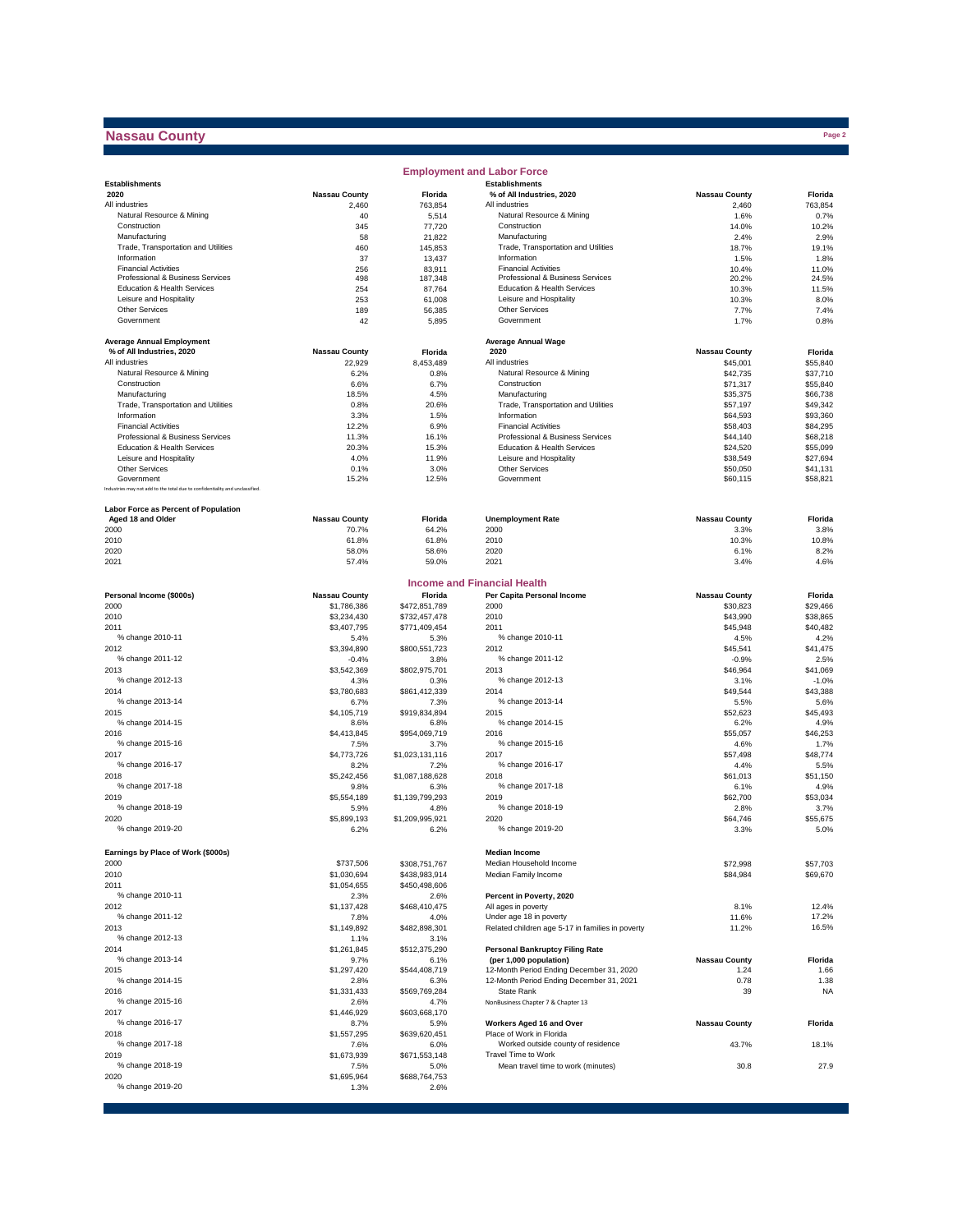## **Nassau County**

|                                                                              |                            |                                | <b>Employment and Labor Force</b>                      |                      |                      |
|------------------------------------------------------------------------------|----------------------------|--------------------------------|--------------------------------------------------------|----------------------|----------------------|
| <b>Establishments</b>                                                        |                            |                                | <b>Establishments</b>                                  |                      |                      |
| 2020                                                                         | <b>Nassau County</b>       | Florida                        | % of All Industries, 2020                              | <b>Nassau County</b> | Florida              |
| All industries<br>Natural Resource & Mining                                  | 2,460<br>40                | 763,854<br>5,514               | All industries<br>Natural Resource & Mining            | 2,460<br>1.6%        | 763,854<br>0.7%      |
| Construction                                                                 | 345                        | 77,720                         | Construction                                           | 14.0%                | 10.2%                |
| Manufacturing                                                                | 58                         | 21,822                         | Manufacturing                                          | 2.4%                 | 2.9%                 |
| Trade, Transportation and Utilities                                          | 460                        | 145.853                        | Trade, Transportation and Utilities                    | 18.7%                | 19.1%                |
| Information                                                                  | 37                         | 13,437                         | Information                                            | 1.5%                 | 1.8%                 |
| <b>Financial Activities</b>                                                  | 256                        | 83,911                         | <b>Financial Activities</b>                            | 10.4%                | 11.0%                |
| Professional & Business Services                                             | 498                        | 187,348                        | Professional & Business Services                       | 20.2%                | 24.5%                |
| Education & Health Services<br>Leisure and Hospitality                       | 254<br>253                 | 87,764<br>61,008               | Education & Health Services<br>Leisure and Hospitality | 10.3%<br>10.3%       | 11.5%<br>8.0%        |
| <b>Other Services</b>                                                        | 189                        | 56,385                         | Other Services                                         | 7.7%                 | 7.4%                 |
| Government                                                                   | 42                         | 5,895                          | Government                                             | 1.7%                 | 0.8%                 |
|                                                                              |                            |                                |                                                        |                      |                      |
| <b>Average Annual Employment</b>                                             |                            |                                | <b>Average Annual Wage</b>                             |                      |                      |
| % of All Industries, 2020                                                    | <b>Nassau County</b>       | Florida                        | 2020                                                   | <b>Nassau County</b> | Florida              |
| All industries                                                               | 22,929                     | 8,453,489                      | All industries                                         | \$45,001             | \$55,840             |
| Natural Resource & Mining                                                    | 6.2%                       | 0.8%                           | Natural Resource & Mining                              | \$42,735             | \$37,710             |
| Construction                                                                 | 6.6%                       | 6.7%                           | Construction                                           | \$71,317             | \$55,840             |
| Manufacturing                                                                | 18.5%                      | 4.5%                           | Manufacturing                                          | \$35,375             | \$66,738             |
| Trade, Transportation and Utilities<br>Information                           | 0.8%<br>3.3%               | 20.6%<br>1.5%                  | Trade, Transportation and Utilities<br>Information     | \$57,197<br>\$64,593 | \$49,342<br>\$93,360 |
| <b>Financial Activities</b>                                                  | 12.2%                      | 6.9%                           | <b>Financial Activities</b>                            | \$58,403             | \$84,295             |
| Professional & Business Services                                             | 11.3%                      | 16.1%                          | Professional & Business Services                       | \$44,140             | \$68,218             |
| Education & Health Services                                                  | 20.3%                      | 15.3%                          | Education & Health Services                            | \$24,520             | \$55,099             |
| Leisure and Hospitality                                                      | 4.0%                       | 11.9%                          | Leisure and Hospitality                                | \$38,549             | \$27,694             |
| <b>Other Services</b>                                                        | 0.1%                       | 3.0%                           | Other Services                                         | \$50,050             | \$41,131             |
| Government                                                                   | 15.2%                      | 12.5%                          | Government                                             | \$60.115             | \$58,821             |
| Industries may not add to the total due to confidentiality and unclassified. |                            |                                |                                                        |                      |                      |
| Labor Force as Percent of Population                                         |                            |                                |                                                        |                      |                      |
| Aged 18 and Older                                                            | <b>Nassau County</b>       | Florida                        | <b>Unemployment Rate</b>                               | <b>Nassau County</b> | Florida              |
| 2000                                                                         | 70.7%                      | 64.2%                          | 2000                                                   | 3.3%                 | 3.8%                 |
| 2010                                                                         | 61.8%                      | 61.8%                          | 2010                                                   | 10.3%                | 10.8%                |
| 2020                                                                         | 58.0%                      | 58.6%                          | 2020                                                   | 6.1%                 | 8.2%                 |
| 2021                                                                         | 57.4%                      | 59.0%                          | 2021                                                   | 3.4%                 | 4.6%                 |
|                                                                              |                            |                                |                                                        |                      |                      |
|                                                                              |                            |                                | <b>Income and Financial Health</b>                     |                      |                      |
| Personal Income (\$000s)                                                     | <b>Nassau County</b>       | Florida                        | Per Capita Personal Income<br>2000                     | <b>Nassau County</b> | Florida              |
| 2000<br>2010                                                                 | \$1,786,386<br>\$3,234,430 | \$472,851,789<br>\$732,457,478 | 2010                                                   | \$30,823<br>\$43,990 | \$29,466<br>\$38,865 |
| 2011                                                                         | \$3,407,795                | \$771,409,454                  | 2011                                                   | \$45,948             | \$40,482             |
| % change 2010-11                                                             | 5.4%                       | 5.3%                           | % change 2010-11                                       | 4.5%                 | 4.2%                 |
| 2012                                                                         | \$3,394,890                | \$800,551,723                  | 2012                                                   | \$45,541             | \$41,475             |
| % change 2011-12                                                             | $-0.4%$                    | 3.8%                           | % change 2011-12                                       | $-0.9%$              | 2.5%                 |
| 2013                                                                         | \$3,542,369                | \$802,975,701                  | 2013                                                   | \$46,964             | \$41,069             |
| % change 2012-13                                                             | 4.3%                       | 0.3%                           | % change 2012-13                                       | 3.1%                 | $-1.0%$              |
| 2014                                                                         | \$3,780,683                | \$861,412,339                  | 2014                                                   | \$49,544             | \$43,388             |
| % change 2013-14                                                             | 6.7%                       | 7.3%                           | % change 2013-14                                       | 5.5%                 | 5.6%                 |
| 2015                                                                         | \$4,105,719                | \$919,834,894                  | 2015                                                   | \$52,623             | \$45,493             |
| % change 2014-15                                                             | 8.6%                       | 6.8%                           | % change 2014-15                                       | 6.2%                 | 4.9%                 |
| 2016                                                                         | \$4,413,845                | \$954,069,719                  | 2016                                                   | \$55,057             | \$46,253             |
| % change 2015-16                                                             | 7.5%                       | 3.7%                           | % change 2015-16                                       | 4.6%                 | 1.7%                 |
| 2017<br>% change 2016-17                                                     | \$4,773,726                | \$1,023,131,116                | 2017<br>% change 2016-17                               | \$57,498             | \$48,774             |
| 2018                                                                         | 8.2%                       | 7.2%                           | 2018                                                   | 4.4%                 | 5.5%                 |
| % change 2017-18                                                             | \$5,242,456<br>9.8%        | \$1,087,188,628<br>6.3%        | % change 2017-18                                       | \$61,013<br>6.1%     | \$51,150<br>4.9%     |
| 2019                                                                         | \$5,554,189                | \$1,139,799,293                | 2019                                                   | \$62,700             | \$53,034             |
| % change 2018-19                                                             | 5.9%                       | 4.8%                           | % change 2018-19                                       | 2.8%                 | 3.7%                 |
| 2020                                                                         | \$5,899,193                | \$1,209,995,921                | 2020                                                   | \$64,746             | \$55,675             |
| % change 2019-20                                                             | 6.2%                       | 6.2%                           | % change 2019-20                                       | 3.3%                 | 5.0%                 |
|                                                                              |                            |                                |                                                        |                      |                      |
| Earnings by Place of Work (\$000s)                                           |                            |                                | <b>Median Income</b>                                   |                      |                      |
| 2000                                                                         | \$737,506                  | \$308,751,767                  | Median Household Income                                | \$72,998             | \$57,703             |
| 2010                                                                         | \$1,030,694                | \$438,983,914                  | Median Family Income                                   | \$84,984             | \$69,670             |
| 2011                                                                         | \$1,054,655                | \$450,498,606                  | Percent in Poverty, 2020                               |                      |                      |
| % change 2010-11<br>2012                                                     | 2.3%                       | 2.6%<br>\$468,410,475          | All ages in poverty                                    | 8.1%                 | 12.4%                |
| % change 2011-12                                                             | \$1,137,428<br>7.8%        | 4.0%                           | Under age 18 in poverty                                | 11.6%                | 17.2%                |
| 2013                                                                         | \$1,149,892                | \$482,898,301                  | Related children age 5-17 in families in poverty       | 11.2%                | 16.5%                |
| % change 2012-13                                                             | 1.1%                       | 3.1%                           |                                                        |                      |                      |
| 2014                                                                         | \$1,261,845                | \$512,375,290                  | <b>Personal Bankruptcy Filing Rate</b>                 |                      |                      |
| % change 2013-14                                                             | 9.7%                       | 6.1%                           | (per 1,000 population)                                 | <b>Nassau County</b> | Florida              |
| 2015                                                                         | \$1,297,420                | \$544,408,719                  | 12-Month Period Ending December 31, 2020               | 1.24                 | 1.66                 |
| % change 2014-15                                                             | 2.8%                       | 6.3%                           | 12-Month Period Ending December 31, 2021               | 0.78                 | 1.38                 |
| 2016                                                                         | \$1,331,433                | \$569,769,284                  | State Rank                                             | 39                   | <b>NA</b>            |
| % change 2015-16                                                             | 2.6%                       | 4.7%                           | NonBusiness Chapter 7 & Chapter 13                     |                      |                      |
| 2017                                                                         | \$1,446,929                | \$603,668,170                  |                                                        |                      |                      |
| % change 2016-17                                                             | 8.7%                       | 5.9%                           | Workers Aged 16 and Over                               | <b>Nassau County</b> | Florida              |
| 2018                                                                         | \$1,557,295                | \$639,620,451                  | Place of Work in Florida                               |                      |                      |
| % change 2017-18                                                             | 7.6%                       | 6.0%                           | Worked outside county of residence                     | 43.7%                | 18.1%                |
| 2019<br>% change 2018-19                                                     | \$1,673,939                | \$671,553,148                  | Travel Time to Work                                    |                      |                      |
| 2020                                                                         | 7.5%<br>\$1,695,964        | 5.0%<br>\$688,764,753          | Mean travel time to work (minutes)                     | 30.8                 | 27.9                 |
| % change 2019-20                                                             | 1.3%                       | 2.6%                           |                                                        |                      |                      |